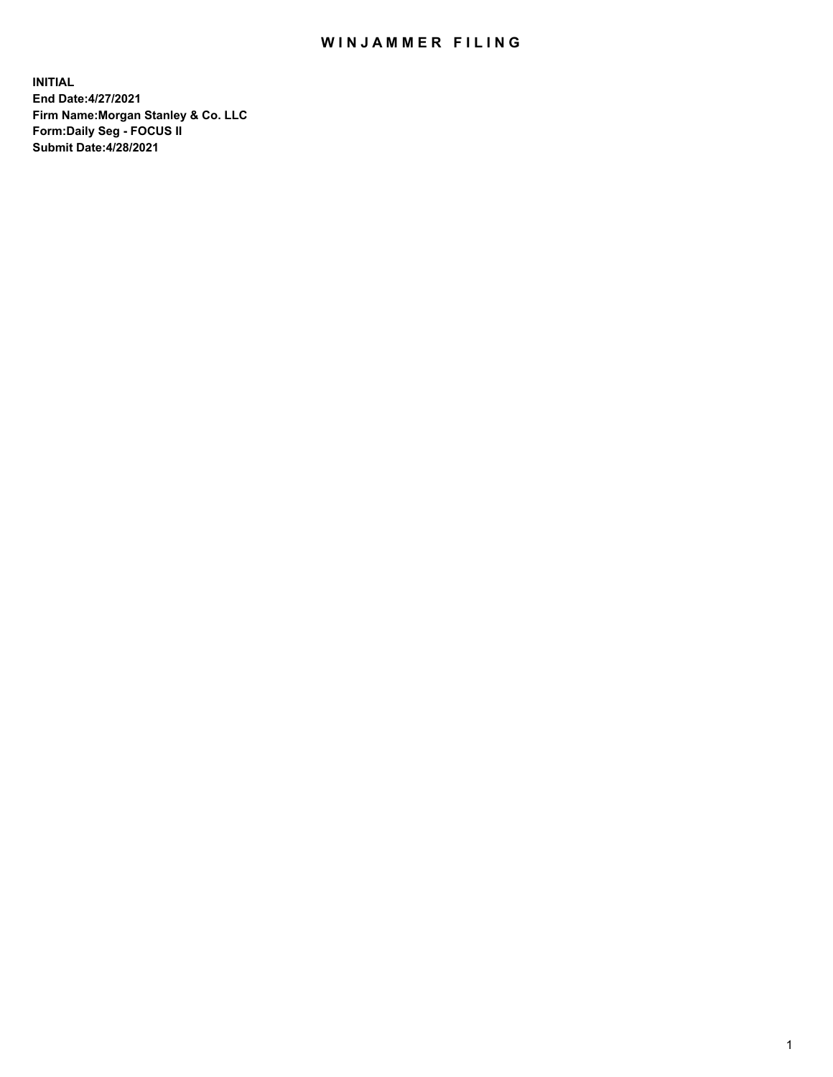## WIN JAMMER FILING

**INITIAL End Date:4/27/2021 Firm Name:Morgan Stanley & Co. LLC Form:Daily Seg - FOCUS II Submit Date:4/28/2021**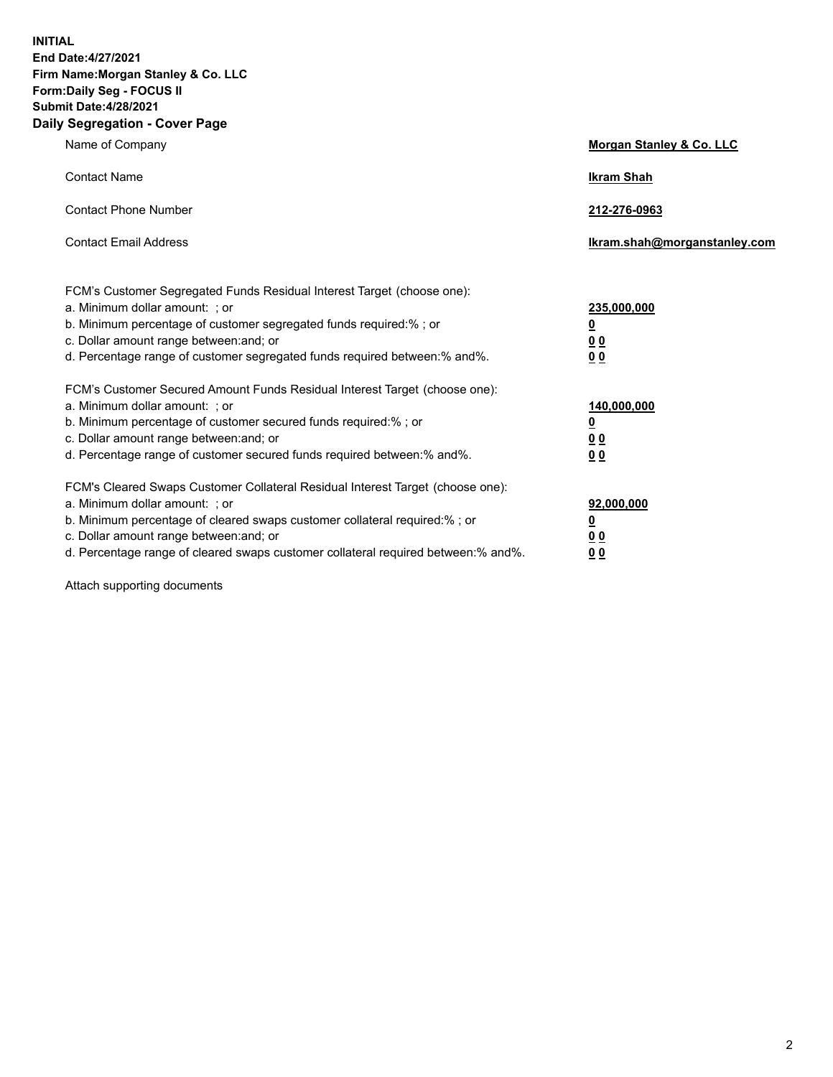**INITIAL End Date:4/27/2021 Firm Name:Morgan Stanley & Co. LLC Form:Daily Seg - FOCUS II Submit Date:4/28/2021 Daily Segregation - Cover Page**

| Name of Company                                                                                                                                                                                                                                                                                                               | Morgan Stanley & Co. LLC                        |
|-------------------------------------------------------------------------------------------------------------------------------------------------------------------------------------------------------------------------------------------------------------------------------------------------------------------------------|-------------------------------------------------|
| <b>Contact Name</b>                                                                                                                                                                                                                                                                                                           | <b>Ikram Shah</b>                               |
| <b>Contact Phone Number</b>                                                                                                                                                                                                                                                                                                   | 212-276-0963                                    |
| <b>Contact Email Address</b>                                                                                                                                                                                                                                                                                                  | Ikram.shah@morganstanley.com                    |
| FCM's Customer Segregated Funds Residual Interest Target (choose one):<br>a. Minimum dollar amount: ; or<br>b. Minimum percentage of customer segregated funds required:% ; or<br>c. Dollar amount range between: and; or<br>d. Percentage range of customer segregated funds required between:% and%.                        | 235,000,000<br><u>0</u><br>0 Q<br>0 Q           |
| FCM's Customer Secured Amount Funds Residual Interest Target (choose one):<br>a. Minimum dollar amount: ; or<br>b. Minimum percentage of customer secured funds required:%; or<br>c. Dollar amount range between: and; or<br>d. Percentage range of customer secured funds required between: % and %.                         | 140,000,000<br><u>0</u><br><u>0 0</u><br>0 Q    |
| FCM's Cleared Swaps Customer Collateral Residual Interest Target (choose one):<br>a. Minimum dollar amount: ; or<br>b. Minimum percentage of cleared swaps customer collateral required:%; or<br>c. Dollar amount range between: and; or<br>d. Percentage range of cleared swaps customer collateral required between:% and%. | 92,000,000<br><u>0</u><br>0 Q<br>0 <sub>0</sub> |

Attach supporting documents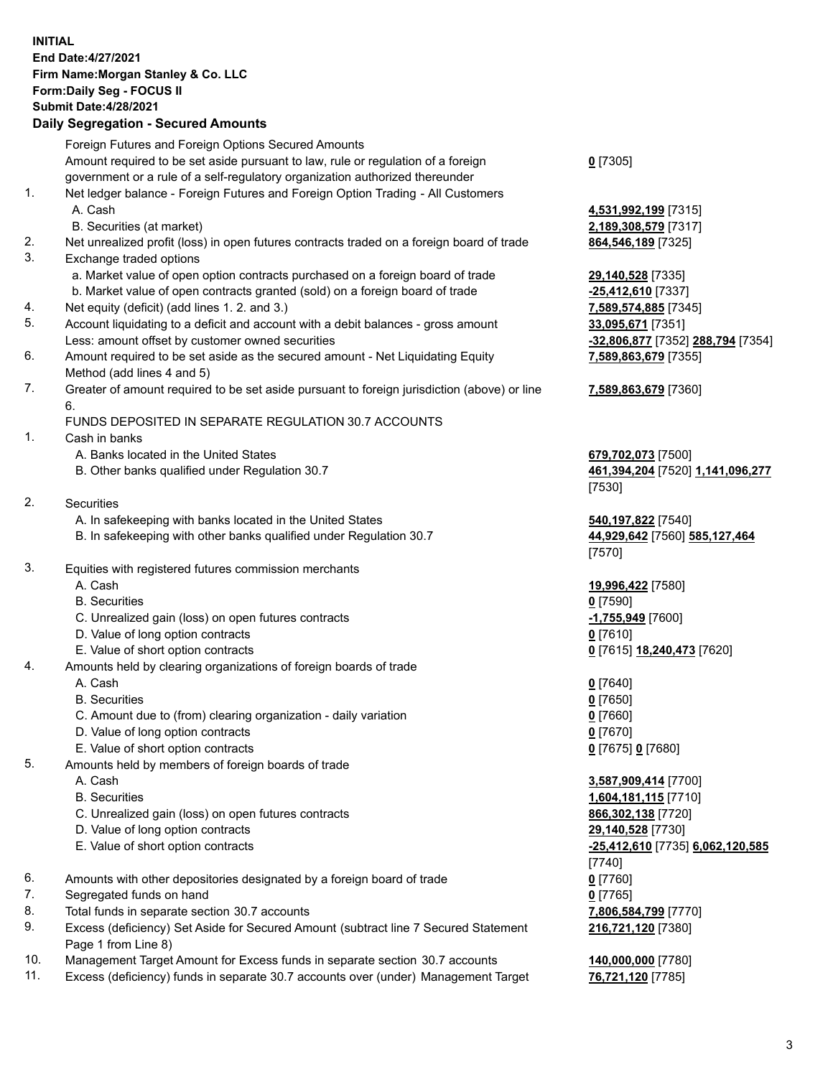## **INITIAL End Date:4/27/2021 Firm Name:Morgan Stanley & Co. LLC Form:Daily Seg - FOCUS II Submit Date:4/28/2021**

## **Daily Segregation - Secured Amounts**

|    | Foreign Futures and Foreign Options Secured Amounts                                               |                                         |
|----|---------------------------------------------------------------------------------------------------|-----------------------------------------|
|    | Amount required to be set aside pursuant to law, rule or regulation of a foreign                  | $0$ [7305]                              |
|    | government or a rule of a self-regulatory organization authorized thereunder                      |                                         |
| 1. | Net ledger balance - Foreign Futures and Foreign Option Trading - All Customers                   |                                         |
|    | A. Cash                                                                                           | 4,531,992,199 [7315]                    |
|    | B. Securities (at market)                                                                         | 2,189,308,579 [7317]                    |
| 2. | Net unrealized profit (loss) in open futures contracts traded on a foreign board of trade         | 864, 546, 189 [7325]                    |
| 3. | Exchange traded options                                                                           |                                         |
|    | a. Market value of open option contracts purchased on a foreign board of trade                    | 29,140,528 [7335]                       |
|    | b. Market value of open contracts granted (sold) on a foreign board of trade                      | -25,412,610 [7337]                      |
| 4. | Net equity (deficit) (add lines 1. 2. and 3.)                                                     | 7,589,574,885 [7345]                    |
| 5. | Account liquidating to a deficit and account with a debit balances - gross amount                 | 33,095,671 [7351]                       |
|    | Less: amount offset by customer owned securities                                                  | -32,806,877 [7352] 288,794 [7354]       |
| 6. | Amount required to be set aside as the secured amount - Net Liquidating Equity                    | 7,589,863,679 [7355]                    |
|    | Method (add lines 4 and 5)                                                                        |                                         |
| 7. | Greater of amount required to be set aside pursuant to foreign jurisdiction (above) or line<br>6. | 7,589,863,679 [7360]                    |
|    | FUNDS DEPOSITED IN SEPARATE REGULATION 30.7 ACCOUNTS                                              |                                         |
| 1. | Cash in banks                                                                                     |                                         |
|    | A. Banks located in the United States                                                             | 679,702,073 [7500]                      |
|    | B. Other banks qualified under Regulation 30.7                                                    | 461,394,204 [7520] 1,141,096,277        |
|    |                                                                                                   | [7530]                                  |
| 2. | <b>Securities</b>                                                                                 |                                         |
|    | A. In safekeeping with banks located in the United States                                         | 540,197,822 [7540]                      |
|    | B. In safekeeping with other banks qualified under Regulation 30.7                                | 44,929,642 [7560] 585,127,464<br>[7570] |
| 3. | Equities with registered futures commission merchants                                             |                                         |
|    | A. Cash                                                                                           | 19,996,422 [7580]                       |
|    | <b>B.</b> Securities                                                                              | $0$ [7590]                              |
|    | C. Unrealized gain (loss) on open futures contracts                                               | -1,755,949 [7600]                       |
|    | D. Value of long option contracts                                                                 | $0$ [7610]                              |
|    | E. Value of short option contracts                                                                | 0 [7615] 18,240,473 [7620]              |
| 4. | Amounts held by clearing organizations of foreign boards of trade                                 |                                         |
|    | A. Cash                                                                                           | $0$ [7640]                              |
|    | <b>B.</b> Securities                                                                              | $0$ [7650]                              |
|    | C. Amount due to (from) clearing organization - daily variation                                   | $0$ [7660]                              |
|    | D. Value of long option contracts                                                                 | $0$ [7670]                              |
|    | E. Value of short option contracts                                                                | 0 [7675] 0 [7680]                       |
| 5. | Amounts held by members of foreign boards of trade                                                |                                         |
|    | A. Cash                                                                                           | 3,587,909,414 [7700]                    |
|    | <b>B.</b> Securities                                                                              | 1,604,181,115 [7710]                    |
|    | C. Unrealized gain (loss) on open futures contracts                                               | 866,302,138 [7720]                      |
|    | D. Value of long option contracts                                                                 | 29,140,528 [7730]                       |
|    | E. Value of short option contracts                                                                | -25,412,610 [7735] 6,062,120,585        |
|    |                                                                                                   | [7740]                                  |
| 6. | Amounts with other depositories designated by a foreign board of trade                            | $0$ [7760]                              |
| 7. | Segregated funds on hand                                                                          | $0$ [7765]                              |
| 8. | Total funds in separate section 30.7 accounts                                                     | 7,806,584,799 [7770]                    |
| 9. | Excess (deficiency) Set Aside for Secured Amount (subtract line 7 Secured Statement               | 216,721,120 [7380]                      |
|    | Page 1 from Line 8)                                                                               |                                         |

- 10. Management Target Amount for Excess funds in separate section 30.7 accounts **140,000,000** [7780]
- 11. Excess (deficiency) funds in separate 30.7 accounts over (under) Management Target **76,721,120** [7785]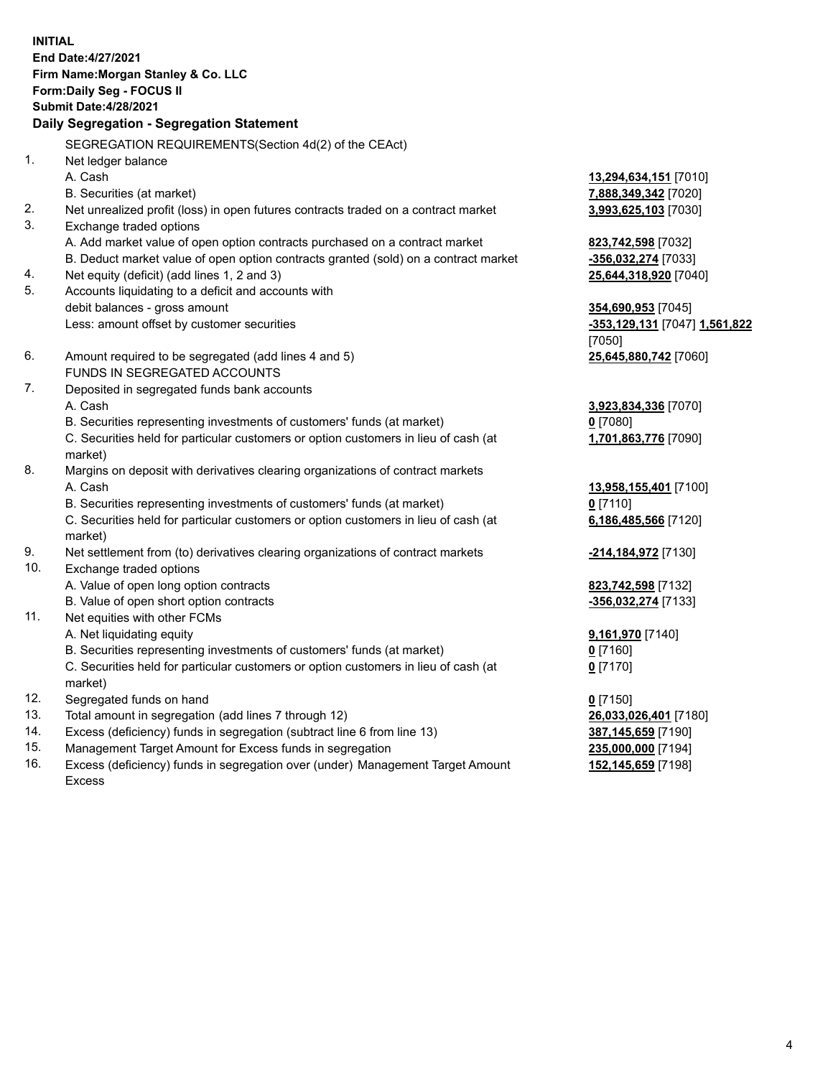**INITIAL End Date:4/27/2021 Firm Name:Morgan Stanley & Co. LLC Form:Daily Seg - FOCUS II Submit Date:4/28/2021 Daily Segregation - Segregation Statement** SEGREGATION REQUIREMENTS(Section 4d(2) of the CEAct) 1. Net ledger balance A. Cash **13,294,634,151** [7010] B. Securities (at market) **7,888,349,342** [7020] 2. Net unrealized profit (loss) in open futures contracts traded on a contract market **3,993,625,103** [7030] 3. Exchange traded options A. Add market value of open option contracts purchased on a contract market **823,742,598** [7032] B. Deduct market value of open option contracts granted (sold) on a contract market **-356,032,274** [7033] 4. Net equity (deficit) (add lines 1, 2 and 3) **25,644,318,920** [7040] 5. Accounts liquidating to a deficit and accounts with debit balances - gross amount **354,690,953** [7045] Less: amount offset by customer securities **-353,129,131** [7047] **1,561,822** [7050] 6. Amount required to be segregated (add lines 4 and 5) **25,645,880,742** [7060] FUNDS IN SEGREGATED ACCOUNTS 7. Deposited in segregated funds bank accounts A. Cash **3,923,834,336** [7070] B. Securities representing investments of customers' funds (at market) **0** [7080] C. Securities held for particular customers or option customers in lieu of cash (at market) **1,701,863,776** [7090] 8. Margins on deposit with derivatives clearing organizations of contract markets A. Cash **13,958,155,401** [7100] B. Securities representing investments of customers' funds (at market) **0** [7110] C. Securities held for particular customers or option customers in lieu of cash (at market) **6,186,485,566** [7120] 9. Net settlement from (to) derivatives clearing organizations of contract markets **-214,184,972** [7130] 10. Exchange traded options A. Value of open long option contracts **823,742,598** [7132] B. Value of open short option contracts **and the set of our original contracts -356,032,274** [7133] 11. Net equities with other FCMs A. Net liquidating equity **9,161,970** [7140] B. Securities representing investments of customers' funds (at market) **0** [7160] C. Securities held for particular customers or option customers in lieu of cash (at market) **0** [7170] 12. Segregated funds on hand **0** [7150] 13. Total amount in segregation (add lines 7 through 12) **26,033,026,401** [7180] 14. Excess (deficiency) funds in segregation (subtract line 6 from line 13) **387,145,659** [7190] 15. Management Target Amount for Excess funds in segregation **235,000,000** [7194]

16. Excess (deficiency) funds in segregation over (under) Management Target Amount Excess

4

**152,145,659** [7198]